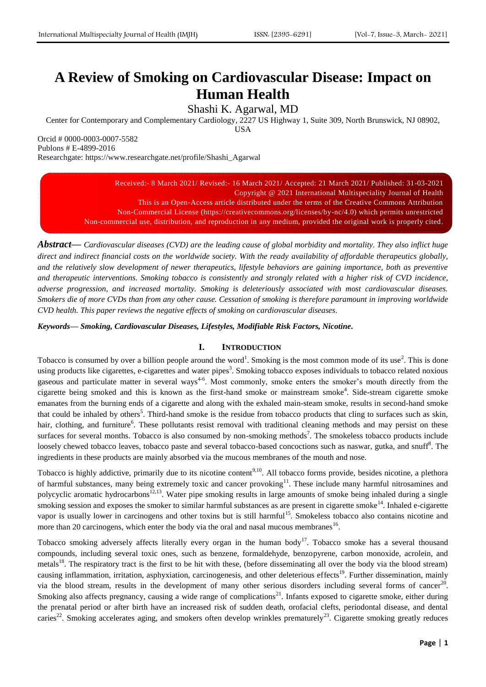# **A Review of Smoking on Cardiovascular Disease: Impact on Human Health**

Shashi K. Agarwal, MD

Center for Contemporary and Complementary Cardiology, 2227 US Highway 1, Suite 309, North Brunswick, NJ 08902,

USA

Orcid # 0000-0003-0007-5582 Publons # E-4899-2016 Researchgate: https://www.researchgate.net/profile/Shashi\_Agarwal

> Received:- 8 March 2021/ Revised:- 16 March 2021/ Accepted: 21 March 2021/ Published: 31-03-2021 Copyright @ 2021 International Multispeciality Journal of Health This is an Open-Access article distributed under the terms of the Creative Commons Attribution Non-Commercial License (https://creativecommons.org/licenses/by-nc/4.0) which permits unrestricted Non-commercial use, distribution, and reproduction in any medium, provided the original work is properly cited.

*Abstract***—** *Cardiovascular diseases (CVD) are the leading cause of global morbidity and mortality. They also inflict huge direct and indirect financial costs on the worldwide society. With the ready availability of affordable therapeutics globally, and the relatively slow development of newer therapeutics, lifestyle behaviors are gaining importance, both as preventive and therapeutic interventions. Smoking tobacco is consistently and strongly related with a higher risk of CVD incidence, adverse progression, and increased mortality. Smoking is deleteriously associated with most cardiovascular diseases. Smokers die of more CVDs than from any other cause. Cessation of smoking is therefore paramount in improving worldwide CVD health. This paper reviews the negative effects of smoking on cardiovascular diseases.*

*Keywords— Smoking, Cardiovascular Diseases, Lifestyles, Modifiable Risk Factors, Nicotine.*

# **I. INTRODUCTION**

Tobacco is consumed by over a billion people around the word<sup>1</sup>. Smoking is the most common mode of its use<sup>2</sup>. This is done using products like cigarettes, e-cigarettes and water pipes<sup>3</sup>. Smoking tobacco exposes individuals to tobacco related noxious gaseous and particulate matter in several ways<sup>4-6</sup>. Most commonly, smoke enters the smoker's mouth directly from the cigarette being smoked and this is known as the first-hand smoke or mainstream smoke<sup>4</sup>. Side-stream cigarette smoke emanates from the burning ends of a cigarette and along with the exhaled main-steam smoke, results in second-hand smoke that could be inhaled by others<sup>5</sup>. Third-hand smoke is the residue from tobacco products that cling to surfaces such as skin, hair, clothing, and furniture<sup>6</sup>. These pollutants resist removal with traditional cleaning methods and may persist on these surfaces for several months. Tobacco is also consumed by non-smoking methods<sup>7</sup>. The smokeless tobacco products include loosely chewed tobacco leaves, tobacco paste and several tobacco-based concoctions such as naswar, gutka, and snuff<sup>8</sup>. The ingredients in these products are mainly absorbed via the mucous membranes of the mouth and nose.

Tobacco is highly addictive, primarily due to its nicotine content<sup>9,10</sup>. All tobacco forms provide, besides nicotine, a plethora of harmful substances, many being extremely toxic and cancer provoking<sup>11</sup>. These include many harmful nitrosamines and polycyclic aromatic hydrocarbons<sup>12,13</sup>. Water pipe smoking results in large amounts of smoke being inhaled during a single smoking session and exposes the smoker to similar harmful substances as are present in cigarette smoke<sup>14</sup>. Inhaled e-cigarette vapor is usually lower in carcinogens and other toxins but is still harmful<sup>15</sup>. Smokeless tobacco also contains nicotine and more than 20 carcinogens, which enter the body via the oral and nasal mucous membranes<sup>16</sup>.

Tobacco smoking adversely affects literally every organ in the human body<sup>17</sup>. Tobacco smoke has a several thousand compounds, including several toxic ones, such as benzene, formaldehyde, benzopyrene, carbon monoxide, acrolein, and metals<sup>18</sup>. The respiratory tract is the first to be hit with these, (before disseminating all over the body via the blood stream) causing inflammation, irritation, asphyxiation, carcinogenesis, and other deleterious effects<sup>19</sup>. Further dissemination, mainly via the blood stream, results in the development of many other serious disorders including several forms of cancer<sup>20</sup>. Smoking also affects pregnancy, causing a wide range of complications<sup>21</sup>. Infants exposed to cigarette smoke, either during the prenatal period or after birth have an increased risk of sudden death, orofacial clefts, periodontal disease, and dental caries<sup>22</sup>. Smoking accelerates aging, and smokers often develop wrinkles prematurely<sup>23</sup>. Cigarette smoking greatly reduces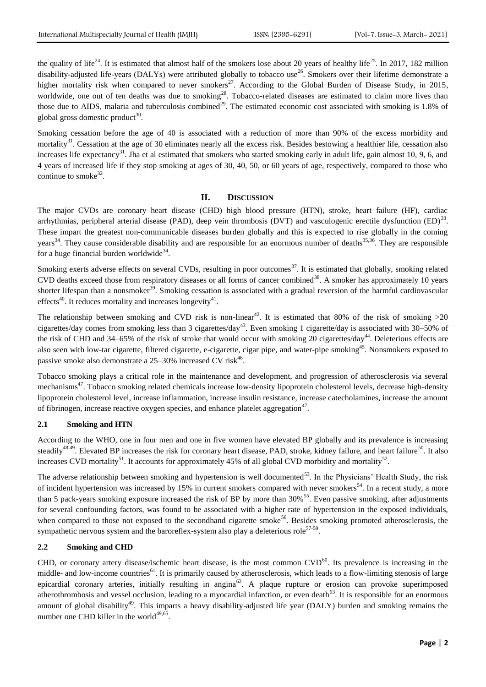the quality of life<sup>24</sup>. It is estimated that almost half of the smokers lose about 20 years of healthy life<sup>25</sup>. In 2017, 182 million disability-adjusted life-years (DALYs) were attributed globally to tobacco use<sup>26</sup>. Smokers over their lifetime demonstrate a higher mortality risk when compared to never smokers<sup>27</sup>. According to the Global Burden of Disease Study, in 2015, worldwide, one out of ten deaths was due to smoking<sup>28</sup>. Tobacco-related diseases are estimated to claim more lives than those due to AIDS, malaria and tuberculosis combined<sup>29</sup>. The estimated economic cost associated with smoking is  $1.8\%$  of global gross domestic product<sup>30</sup>.

Smoking cessation before the age of 40 is associated with a reduction of more than 90% of the excess morbidity and mortality<sup>31</sup>. Cessation at the age of 30 eliminates nearly all the excess risk. Besides bestowing a healthier life, cessation also increases life expectancy<sup>31</sup>. Jha et al estimated that smokers who started smoking early in adult life, gain almost 10, 9, 6, and 4 years of increased life if they stop smoking at ages of 30, 40, 50, or 60 years of age, respectively, compared to those who continue to smoke<sup>32</sup>.

#### **II. DISCUSSION**

The major CVDs are coronary heart disease (CHD) high blood pressure (HTN), stroke, heart failure (HF), cardiac arrhythmias, peripheral arterial disease (PAD), deep vein thrombosis (DVT) and vasculogenic erectile dysfunction  $(ED)^{33}$ . These impart the greatest non-communicable diseases burden globally and this is expected to rise globally in the coming years<sup>34</sup>. They cause considerable disability and are responsible for an enormous number of deaths<sup>35,36</sup>. They are responsible for a huge financial burden worldwide<sup>34</sup>.

Smoking exerts adverse effects on several CVDs, resulting in poor outcomes $37$ . It is estimated that globally, smoking related CVD deaths exceed those from respiratory diseases or all forms of cancer combined<sup>38</sup>. A smoker has approximately 10 years shorter lifespan than a nonsmoker<sup>39</sup>. Smoking cessation is associated with a gradual reversion of the harmful cardiovascular effects<sup>40</sup>. It reduces mortality and increases longevity<sup>41</sup>.

The relationship between smoking and CVD risk is non-linear<sup>42</sup>. It is estimated that 80% of the risk of smoking  $>20$ cigarettes/day comes from smoking less than 3 cigarettes/day<sup>43</sup>. Even smoking 1 cigarette/day is associated with 30–50% of the risk of CHD and 34–65% of the risk of stroke that would occur with smoking 20 cigarettes/day<sup>44</sup>. Deleterious effects are also seen with low-tar cigarette, filtered cigarette, e-cigarette, cigar pipe, and water-pipe smoking<sup>45</sup>. Nonsmokers exposed to passive smoke also demonstrate a 25–30% increased CV risk<sup>46</sup>.

Tobacco smoking plays a critical role in the maintenance and development, and progression of atherosclerosis via several mechanisms<sup>47</sup>. Tobacco smoking related chemicals increase low-density lipoprotein cholesterol levels, decrease high-density lipoprotein cholesterol level, increase inflammation, increase insulin resistance, increase catecholamines, increase the amount of fibrinogen, increase reactive oxygen species, and enhance platelet aggregation<sup>47</sup>.

#### **2.1 Smoking and HTN**

According to the WHO, one in four men and one in five women have elevated BP globally and its prevalence is increasing steadily<sup>48,49</sup>. Elevated BP increases the risk for coronary heart disease, PAD, stroke, kidney failure, and heart failure<sup>50</sup>. It also increases CVD mortality<sup>51</sup>. It accounts for approximately 45% of all global CVD morbidity and mortality<sup>52</sup>.

The adverse relationship between smoking and hypertension is well documented<sup>53</sup>. In the Physicians' Health Study, the risk of incident hypertension was increased by 15% in current smokers compared with never smokers<sup>54</sup>. In a recent study, a more than 5 pack-years smoking exposure increased the risk of BP by more than  $30\%$ <sup>55</sup>. Even passive smoking, after adjustments for several confounding factors, was found to be associated with a higher rate of hypertension in the exposed individuals, when compared to those not exposed to the secondhand cigarette smoke<sup>56</sup>. Besides smoking promoted atherosclerosis, the sympathetic nervous system and the baroreflex-system also play a deleterious role<sup>57-59</sup>.

#### **2.2 Smoking and CHD**

CHD, or coronary artery disease/ischemic heart disease, is the most common CVD<sup>60</sup>. Its prevalence is increasing in the middle- and low-income countries<sup>61</sup>. It is primarily caused by atherosclerosis, which leads to a flow-limiting stenosis of large epicardial coronary arteries, initially resulting in angina<sup>62</sup>. A plaque rupture or erosion can provoke superimposed atherothrombosis and vessel occlusion, leading to a myocardial infarction, or even death $^{63}$ . It is responsible for an enormous amount of global disability<sup>49</sup>. This imparts a heavy disability-adjusted life year (DALY) burden and smoking remains the number one CHD killer in the world $49,65$ .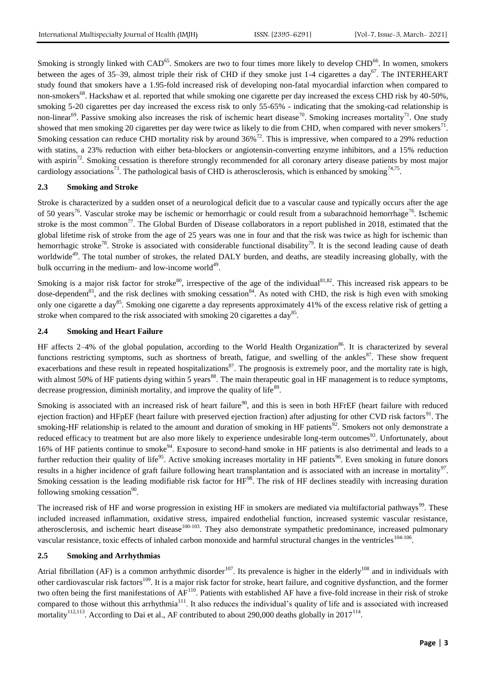Smoking is strongly linked with CAD<sup>65</sup>. Smokers are two to four times more likely to develop CHD<sup>66</sup>. In women, smokers between the ages of 35–39, almost triple their risk of CHD if they smoke just 1-4 cigarettes a day<sup>67</sup>. The INTERHEART study found that smokers have a 1.95-fold increased risk of developing non-fatal myocardial infarction when compared to non-smokers<sup>68</sup>. Hackshaw et al. reported that while smoking one cigarette per day increased the excess CHD risk by 40-50%, smoking 5-20 cigarettes per day increased the excess risk to only 55-65% - indicating that the smoking-cad relationship is non-linear<sup>69</sup>. Passive smoking also increases the risk of ischemic heart disease<sup>70</sup>. Smoking increases mortality<sup>71</sup>. One study showed that men smoking 20 cigarettes per day were twice as likely to die from CHD, when compared with never smokers<sup>71</sup>. Smoking cessation can reduce CHD mortality risk by around  $36\%$ <sup>72</sup>. This is impressive, when compared to a 29% reduction with statins, a 23% reduction with either beta-blockers or angiotensin-converting enzyme inhibitors, and a 15% reduction with aspirin<sup>72</sup>. Smoking cessation is therefore strongly recommended for all coronary artery disease patients by most major cardiology associations<sup>73</sup>. The pathological basis of CHD is atherosclerosis, which is enhanced by smoking<sup>74,75</sup>.

# **2.3 Smoking and Stroke**

Stroke is characterized by a sudden onset of a neurological deficit due to a vascular cause and typically occurs after the age of 50 years<sup>76</sup>. Vascular stroke may be ischemic or hemorrhagic or could result from a subarachnoid hemorrhage<sup>76</sup>. Ischemic stroke is the most common<sup>77</sup>. The Global Burden of Disease collaborators in a report published in 2018, estimated that the global lifetime risk of stroke from the age of 25 years was one in four and that the risk was twice as high for ischemic than hemorrhagic stroke<sup>78</sup>. Stroke is associated with considerable functional disability<sup>79</sup>. It is the second leading cause of death worldwide<sup>49</sup>. The total number of strokes, the related DALY burden, and deaths, are steadily increasing globally, with the bulk occurring in the medium- and low-income world $49$ .

Smoking is a major risk factor for stroke<sup>80</sup>, irrespective of the age of the individual<sup>81,82</sup>. This increased risk appears to be dose-dependent<sup>83</sup>, and the risk declines with smoking cessation<sup>84</sup>. As noted with CHD, the risk is high even with smoking only one cigarette a day<sup>85</sup>. Smoking one cigarette a day represents approximately 41% of the excess relative risk of getting a stroke when compared to the risk associated with smoking 20 cigarettes a day $^{85}$ .

#### **2.4 Smoking and Heart Failure**

HF affects 2–4% of the global population, according to the World Health Organization<sup>86</sup>. It is characterized by several functions restricting symptoms, such as shortness of breath, fatigue, and swelling of the ankles $87$ . These show frequent exacerbations and these result in repeated hospitalizations<sup>87</sup>. The prognosis is extremely poor, and the mortality rate is high, with almost 50% of HF patients dying within 5 years<sup>88</sup>. The main therapeutic goal in HF management is to reduce symptoms, decrease progression, diminish mortality, and improve the quality of life<sup>89</sup>.

Smoking is associated with an increased risk of heart failure<sup>90</sup>, and this is seen in both HFrEF (heart failure with reduced ejection fraction) and HFpEF (heart failure with preserved ejection fraction) after adjusting for other CVD risk factors<sup>91</sup>. The smoking-HF relationship is related to the amount and duration of smoking in HF patients<sup>92</sup>. Smokers not only demonstrate a reduced efficacy to treatment but are also more likely to experience undesirable long-term outcomes<sup>93</sup>. Unfortunately, about 16% of HF patients continue to smoke<sup>94</sup>. Exposure to second-hand smoke in HF patients is also detrimental and leads to a further reduction their quality of life<sup>95</sup>. Active smoking increases mortality in HF patients<sup>96</sup>. Even smoking in future donors results in a higher incidence of graft failure following heart transplantation and is associated with an increase in mortality $97$ . Smoking cessation is the leading modifiable risk factor for HF<sup>98</sup>. The risk of HF declines steadily with increasing duration following smoking cessation<sup>90</sup>.

The increased risk of HF and worse progression in existing HF in smokers are mediated via multifactorial pathways<sup>99</sup>. These included increased inflammation, oxidative stress, impaired endothelial function, increased systemic vascular resistance, atherosclerosis, and ischemic heart disease<sup>100-103</sup>. They also demonstrate sympathetic predominance, increased pulmonary vascular resistance, toxic effects of inhaled carbon monoxide and harmful structural changes in the ventricles<sup>104-106</sup>.

#### **2.5 Smoking and Arrhythmias**

Atrial fibrillation (AF) is a common arrhythmic disorder<sup>107</sup>. Its prevalence is higher in the elderly<sup>108</sup> and in individuals with other cardiovascular risk factors<sup>109</sup>. It is a major risk factor for stroke, heart failure, and cognitive dysfunction, and the former two often being the first manifestations of AF<sup>110</sup>. Patients with established AF have a five-fold increase in their risk of stroke compared to those without this arrhythmia<sup>111</sup>. It also reduces the individual's quality of life and is associated with increased mortality<sup>112,113</sup>. According to Dai et al., AF contributed to about 290,000 deaths globally in 2017<sup>114</sup>.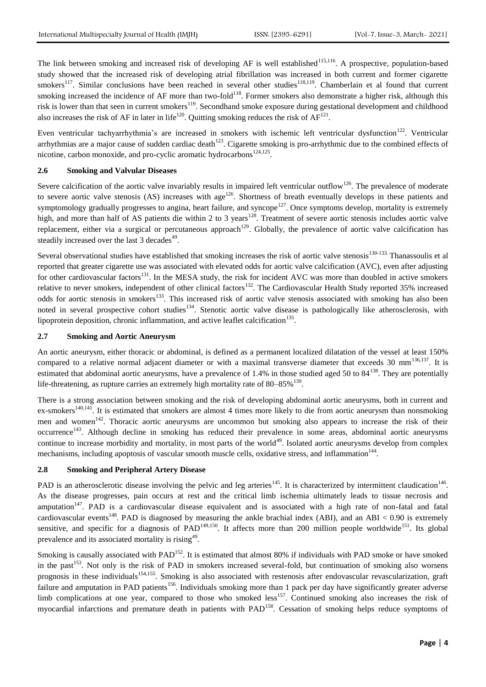The link between smoking and increased risk of developing AF is well established<sup>115,116</sup>. A prospective, population-based study showed that the increased risk of developing atrial fibrillation was increased in both current and former cigarette smokers<sup>117</sup>. Similar conclusions have been reached in several other studies<sup>118,119</sup>. Chamberlain et al found that current smoking increased the incidence of AF more than two-fold<sup>118</sup>. Former smokers also demonstrate a higher risk, although this risk is lower than that seen in current smokers<sup>119</sup>. Secondhand smoke exposure during gestational development and childhood also increases the risk of AF in later in life<sup>120</sup>. Quitting smoking reduces the risk of  $AF^{121}$ .

Even ventricular tachyarrhythmia's are increased in smokers with ischemic left ventricular dysfunction<sup>122</sup>. Ventricular arrhythmias are a major cause of sudden cardiac death<sup>123</sup>. Cigarette smoking is pro-arrhythmic due to the combined effects of nicotine, carbon monoxide, and pro-cyclic aromatic hydrocarbons<sup>124,125</sup>.

#### **2.6 Smoking and Valvular Diseases**

Severe calcification of the aortic valve invariably results in impaired left ventricular outflow<sup>126</sup>. The prevalence of moderate to severe aortic valve stenosis  $(AS)$  increases with age<sup>126</sup>. Shortness of breath eventually develops in these patients and symptomology gradually progresses to angina, heart failure, and syncope<sup>127</sup>. Once symptoms develop, mortality is extremely high, and more than half of AS patients die within 2 to 3 years<sup>128</sup>. Treatment of severe aortic stenosis includes aortic valve replacement, either via a surgical or percutaneous approach<sup>129</sup>. Globally, the prevalence of aortic valve calcification has steadily increased over the last 3 decades<sup>49</sup>.

Several observational studies have established that smoking increases the risk of aortic valve stenosis<sup>130-133</sup>. Thanassoulis et al reported that greater cigarette use was associated with elevated odds for aortic valve calcification (AVC), even after adjusting for other cardiovascular factors<sup>131</sup>. In the MESA study, the risk for incident AVC was more than doubled in active smokers relative to never smokers, independent of other clinical factors<sup>132</sup>. The Cardiovascular Health Study reported 35% increased odds for aortic stenosis in smokers<sup>133</sup>. This increased risk of aortic valve stenosis associated with smoking has also been noted in several prospective cohort studies<sup>134</sup>. Stenotic aortic valve disease is pathologically like atherosclerosis, with lipoprotein deposition, chronic inflammation, and active leaflet calcification<sup>135</sup>.

### **2.7 Smoking and Aortic Aneurysm**

An aortic aneurysm, either thoracic or abdominal, is defined as a permanent localized dilatation of the vessel at least 150% compared to a relative normal adjacent diameter or with a maximal transverse diameter that exceeds 30 mm<sup>136,137</sup>. It is estimated that abdominal aortic aneurysms, have a prevalence of 1.4% in those studied aged 50 to  $84^{138}$ . They are potentially life-threatening, as rupture carries an extremely high mortality rate of  $80-85\%$ <sup>139</sup>.

There is a strong association between smoking and the risk of developing abdominal aortic aneurysms, both in current and ex-smokers<sup>140,141</sup>. It is estimated that smokers are almost 4 times more likely to die from aortic aneurysm than nonsmoking men and women<sup>142</sup>. Thoracic aortic aneurysms are uncommon but smoking also appears to increase the risk of their occurrence<sup>143</sup>. Although decline in smoking has reduced their prevalence in some areas, abdominal aortic aneurysms continue to increase morbidity and mortality, in most parts of the world<sup>49</sup>. Isolated aortic aneurysms develop from complex mechanisms, including apoptosis of vascular smooth muscle cells, oxidative stress, and inflammation<sup>144</sup>.

# **2.8 Smoking and Peripheral Artery Disease**

PAD is an atherosclerotic disease involving the pelvic and leg arteries<sup>145</sup>. It is characterized by intermittent claudication<sup>146</sup>. As the disease progresses, pain occurs at rest and the critical limb ischemia ultimately leads to tissue necrosis and amputation<sup>147</sup>. PAD is a cardiovascular disease equivalent and is associated with a high rate of non-fatal and fatal cardiovascular events<sup>148</sup>. PAD is diagnosed by measuring the ankle brachial index (ABI), and an ABI < 0.90 is extremely sensitive, and specific for a diagnosis of  $PAD^{149,150}$ . It affects more than 200 million people worldwide<sup>151</sup>. Its global prevalence and its associated mortality is rising<sup>49</sup>.

Smoking is causally associated with PAD<sup>152</sup>. It is estimated that almost 80% if individuals with PAD smoke or have smoked in the past<sup>153</sup>. Not only is the risk of PAD in smokers increased several-fold, but continuation of smoking also worsens prognosis in these individuals<sup>154,155</sup>. Smoking is also associated with restenosis after endovascular revascularization, graft failure and amputation in PAD patients<sup>156</sup>. Individuals smoking more than 1 pack per day have significantly greater adverse limb complications at one year, compared to those who smoked  $\text{less}^{157}$ . Continued smoking also increases the risk of myocardial infarctions and premature death in patients with PAD<sup>158</sup>. Cessation of smoking helps reduce symptoms of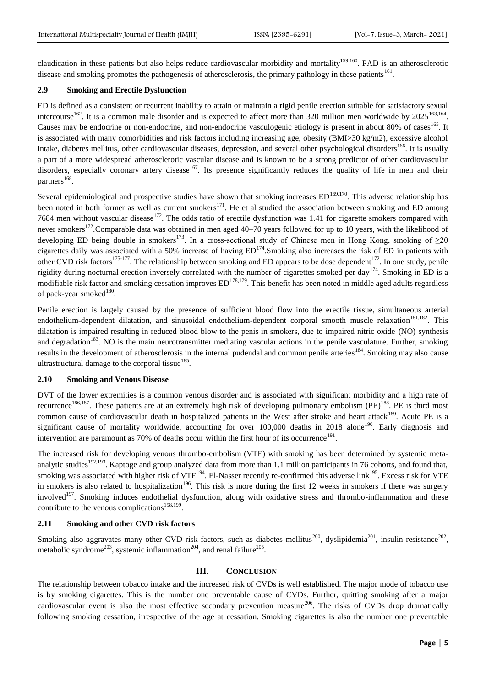claudication in these patients but also helps reduce cardiovascular morbidity and mortality<sup>159,160</sup>. PAD is an atherosclerotic disease and smoking promotes the pathogenesis of atherosclerosis, the primary pathology in these patients<sup>161</sup>.

# **2.9 Smoking and Erectile Dysfunction**

ED is defined as a consistent or recurrent inability to attain or maintain a rigid penile erection suitable for satisfactory sexual intercourse<sup>162</sup>. It is a common male disorder and is expected to affect more than 320 million men worldwide by  $2025^{163,164}$ . Causes may be endocrine or non-endocrine, and non-endocrine vasculogenic etiology is present in about 80% of cases<sup>165</sup>. It is associated with many comorbidities and risk factors including increasing age, obesity (BMI>30 kg/m2), excessive alcohol intake, diabetes mellitus, other cardiovascular diseases, depression, and several other psychological disorders<sup>166</sup>. It is usually a part of a more widespread atherosclerotic vascular disease and is known to be a strong predictor of other cardiovascular disorders, especially coronary artery disease<sup>167</sup>. Its presence significantly reduces the quality of life in men and their partners<sup>168</sup>.

Several epidemiological and prospective studies have shown that smoking increases  $ED^{169,170}$ . This adverse relationship has been noted in both former as well as current smokers<sup>171</sup>. He et al studied the association between smoking and ED among 7684 men without vascular disease<sup>172</sup>. The odds ratio of erectile dysfunction was 1.41 for cigarette smokers compared with never smokers<sup>172</sup>. Comparable data was obtained in men aged 40–70 years followed for up to 10 years, with the likelihood of developing ED being double in smokers<sup>173</sup>. In a cross-sectional study of Chinese men in Hong Kong, smoking of  $\geq 20$ cigarettes daily was associated with a 50% increase of having  $ED^{174}$ . Smoking also increases the risk of ED in patients with other CVD risk factors<sup>175-177</sup>. The relationship between smoking and ED appears to be dose dependent<sup>172</sup>. In one study, penile rigidity during nocturnal erection inversely correlated with the number of cigarettes smoked per day<sup>174</sup>. Smoking in ED is a modifiable risk factor and smoking cessation improves  $ED^{178,179}$ . This benefit has been noted in middle aged adults regardless of pack-year smoked<sup>180</sup>.

Penile erection is largely caused by the presence of sufficient blood flow into the erectile tissue, simultaneous arterial endothelium-dependent dilatation, and sinusoidal endothelium-dependent corporal smooth muscle relaxation<sup>181,182</sup>. This dilatation is impaired resulting in reduced blood blow to the penis in smokers, due to impaired nitric oxide (NO) synthesis and degradation<sup>183</sup>. NO is the main neurotransmitter mediating vascular actions in the penile vasculature. Further, smoking results in the development of atherosclerosis in the internal pudendal and common penile arteries<sup>184</sup>. Smoking may also cause ultrastructural damage to the corporal tissue  $^{185}$ .

#### **2.10 Smoking and Venous Disease**

DVT of the lower extremities is a common venous disorder and is associated with significant morbidity and a high rate of recurrence<sup>186,187</sup>. These patients are at an extremely high risk of developing pulmonary embolism (PE)<sup>188</sup>. PE is third most common cause of cardiovascular death in hospitalized patients in the West after stroke and heart attack<sup>189</sup>. Acute PE is a significant cause of mortality worldwide, accounting for over  $100,000$  deaths in 2018 alone<sup>190</sup>. Early diagnosis and intervention are paramount as 70% of deaths occur within the first hour of its occurrence<sup>191</sup>.

The increased risk for developing venous thrombo-embolism (VTE) with smoking has been determined by systemic metaanalytic studies<sup>192,193</sup>. Kaptoge and group analyzed data from more than 1.1 million participants in 76 cohorts, and found that, smoking was associated with higher risk of VTE<sup>194</sup>. El-Nasser recently re-confirmed this adverse link<sup>195</sup>. Excess risk for VTE in smokers is also related to hospitalization<sup>196</sup>. This risk is more during the first 12 weeks in smokers if there was surgery involved<sup>197</sup>. Smoking induces endothelial dysfunction, along with oxidative stress and thrombo-inflammation and these contribute to the venous complications<sup>198,199</sup>.

## **2.11 Smoking and other CVD risk factors**

Smoking also aggravates many other CVD risk factors, such as diabetes mellitus<sup>200</sup>, dyslipidemia<sup>201</sup>, insulin resistance<sup>202</sup>, metabolic syndrome<sup>203</sup>, systemic inflammation<sup>204</sup>, and renal failure<sup>205</sup>.

# **III. CONCLUSION**

The relationship between tobacco intake and the increased risk of CVDs is well established. The major mode of tobacco use is by smoking cigarettes. This is the number one preventable cause of CVDs. Further, quitting smoking after a major cardiovascular event is also the most effective secondary prevention measure<sup>206</sup>. The risks of CVDs drop dramatically following smoking cessation, irrespective of the age at cessation. Smoking cigarettes is also the number one preventable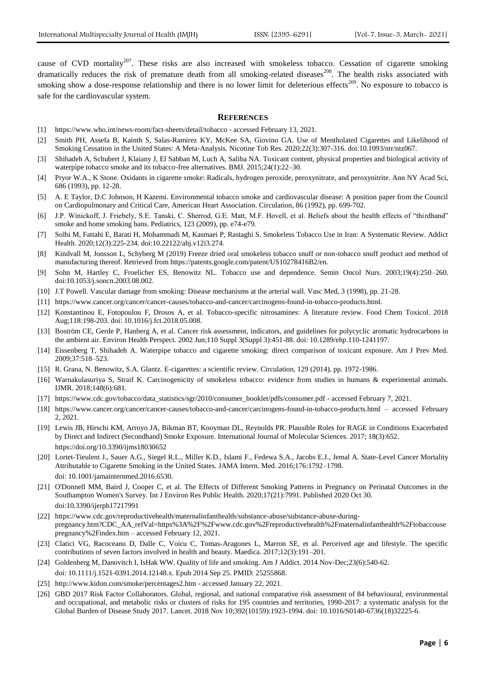cause of CVD mortality<sup>207</sup>. These risks are also increased with smokeless tobacco. Cessation of cigarette smoking dramatically reduces the risk of premature death from all smoking-related diseases<sup>208</sup>. The health risks associated with smoking show a dose-response relationship and there is no lower limit for deleterious effects<sup>209</sup>. No exposure to tobacco is safe for the cardiovascular system.

#### **REFERENCES**

- [1] https://www.who.int/news-room/fact-sheets/detail/tobacco accessed February 13, 2021.
- [2] Smith PH, Assefa B, Kainth S, Salas-Ramirez KY, McKee SA, Giovino GA. Use of Mentholated Cigarettes and Likelihood of Smoking Cessation in the United States: A Meta-Analysis. Nicotine Tob Res. 2020;22(3):307-316. doi:10.1093/ntr/ntz067.
- [3] Shihadeh A, Schubert J, Klaiany J, El Sabban M, Luch A, Saliba NA. Toxicant content, physical properties and biological activity of waterpipe tobacco smoke and its tobacco-free alternatives. BMJ. 2015;24(1):22–30.
- [4] Pryor W.A., K Stone. Oxidants in cigarette smoke: Radicals, hydrogen peroxide, peroxynitrate, and peroxynitrite. Ann NY Acad Sci, 686 (1993), pp. 12-28.
- [5] A. E Taylor, D.C Johnson, H Kazemi. Environmental tobacco smoke and cardiovascular disease: A position paper from the Council on Cardiopulmonary and Critical Care, American Heart Association. Circulation, 86 (1992), pp. 699-702.
- [6] J.P. Winickoff, J. Friebely, S.E. Tanski, C. Sherrod, G.E. Matt, M.F. Hovell, et al. Beliefs about the health effects of "thirdhand" smoke and home smoking bans. Pediatrics, 123 (2009), pp. e74-e79.
- [7] Solhi M, Fattahi E, Barati H, Mohammadi M, Kasmaei P, Rastaghi S. Smokeless Tobacco Use in Iran: A Systematic Review. Addict Health. 2020;12(3):225-234. doi:10.22122/ahj.v12i3.274.
- [8] Kindvall M, Jonsson L, Schyberg M (2019) Freeze dried oral smokeless tobacco snuff or non-tobacco snuff product and method of manufacturing thereof. Retrieved from https://patents.google.com/patent/US10278416B2/en.
- [9] Sohn M, Hartley C, Froelicher ES, Benowitz NL. Tobacco use and dependence. Semin Oncol Nurs. 2003;19(4):250–260. doi:10.1053/j.soncn.2003.08.002.
- [10] J.T Powell. Vascular damage from smoking: Disease mechanisms at the arterial wall. Vasc Med, 3 (1998), pp. 21-28.
- [11] https://www.cancer.org/cancer/cancer-causes/tobacco-and-cancer/carcinogens-found-in-tobacco-products.html.
- [12] Konstantinou E, Fotopoulou F, Drosos A, et al. Tobacco-specific nitrosamines: A literature review. Food Chem Toxicol. 2018 Aug;118:198-203. doi: 10.1016/j.fct.2018.05.008.
- [13] Boström CE, Gerde P, Hanberg A, et al. Cancer risk assessment, indicators, and guidelines for polycyclic aromatic hydrocarbons in the ambient air. Environ Health Perspect. 2002 Jun;110 Suppl 3(Suppl 3):451-88. doi: 10.1289/ehp.110-1241197.
- [14] Eissenberg T, Shihadeh A. Waterpipe tobacco and cigarette smoking: direct comparison of toxicant exposure. Am J Prev Med. 2009;37:518–523.
- [15] R. Grana, N. Benowitz, S.A. Glantz. E-cigarettes: a scientific review. Circulation, 129 (2014), pp. 1972-1986.
- [16] Warnakulasuriya S, Straif K. Carcinogenicity of smokeless tobacco: evidence from studies in humans & experimental animals. IJMR. 2018;148(6):681.
- [17] https://www.cdc.gov/tobacco/data\_statistics/sgr/2010/consumer\_booklet/pdfs/consumer.pdf accessed February 7, 2021.
- [18] https://www.cancer.org/cancer/cancer-causes/tobacco-and-cancer/carcinogens-found-in-tobacco-products.html accessed February 2, 2021.
- [19] Lewis JB, Hirschi KM, Arroyo JA, Bikman BT, Kooyman DL, Reynolds PR. Plausible Roles for RAGE in Conditions Exacerbated by Direct and Indirect (Secondhand) Smoke Exposure. International Journal of Molecular Sciences. 2017; 18(3):652. https://doi.org/10.3390/ijms18030652
- [20] Lortet-Tieulent J., Sauer A.G., Siegel R.L., Miller K.D., Islami F., Fedewa S.A., Jacobs E.J., Jemal A. State-Level Cancer Mortality Attributable to Cigarette Smoking in the United States. JAMA Intern. Med. 2016;176:1792–1798. doi: 10.1001/jamainternmed.2016.6530.
- [21] O'Donnell MM, Baird J, Cooper C, et al. The Effects of Different Smoking Patterns in Pregnancy on Perinatal Outcomes in the Southampton Women's Survey. Int J Environ Res Public Health. 2020;17(21):7991. Published 2020 Oct 30. doi:10.3390/ijerph17217991
- [22] https://www.cdc.gov/reproductivehealth/maternalinfanthealth/substance-abuse/substance-abuse-duringpregnancy.htm?CDC\_AA\_refVal=https%3A%2F%2Fwww.cdc.gov%2Freproductivehealth%2Fmaternalinfanthealth%2Ftobaccouse pregnancy%2Findex.htm – accessed February 12, 2021.
- [23] Clatici VG, Racoceanu D, Dalle C, Voicu C, Tomas-Aragones L, Marron SE, et al. Perceived age and lifestyle. The specific contributions of seven factors involved in health and beauty. Maedica. 2017;12(3):191–201.
- [24] Goldenberg M, Danovitch I, IsHak WW. Quality of life and smoking. Am J Addict. 2014 Nov-Dec;23(6):540-62.
- doi: 10.1111/j.1521-0391.2014.12148.x. Epub 2014 Sep 25. PMID: 25255868.
- [25] http://www.kidon.com/smoke/percentages2.htm accessed January 22, 2021.
- [26] GBD 2017 Risk Factor Collaborators. Global, regional, and national comparative risk assessment of 84 behavioural, environmental and occupational, and metabolic risks or clusters of risks for 195 countries and territories, 1990-2017: a systematic analysis for the Global Burden of Disease Study 2017. Lancet. 2018 Nov 10;392(10159):1923-1994. doi: 10.1016/S0140-6736(18)32225-6.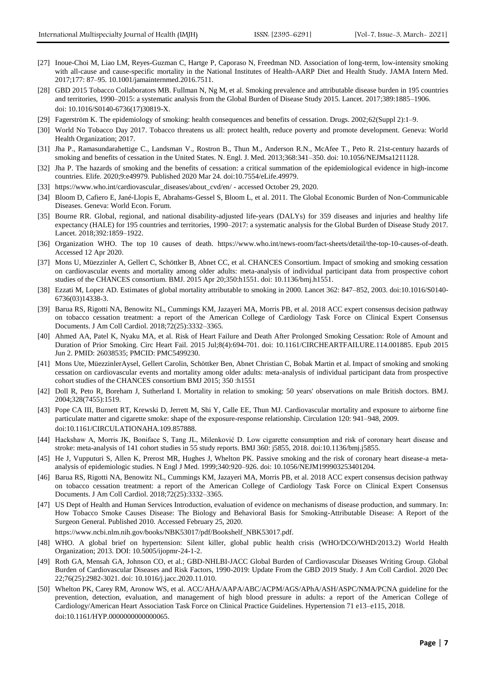- [27] Inoue-Choi M, Liao LM, Reyes-Guzman C, Hartge P, Caporaso N, Freedman ND. Association of long-term, low-intensity smoking with all-cause and cause-specific mortality in the National Institutes of Health-AARP Diet and Health Study. JAMA Intern Med. 2017;177: 87–95. 10.1001/jamainternmed.2016.7511.
- [28] GBD 2015 Tobacco Collaborators MB. Fullman N, Ng M, et al. Smoking prevalence and attributable disease burden in 195 countries and territories, 1990–2015: a systematic analysis from the Global Burden of Disease Study 2015. Lancet. 2017;389:1885–1906. doi: 10.1016/S0140-6736(17)30819-X.
- [29] Fagerström K. The epidemiology of smoking: health consequences and benefits of cessation. Drugs. 2002;62(Suppl 2):1–9.
- [30] World No Tobacco Day 2017. Tobacco threatens us all: protect health, reduce poverty and promote development. Geneva: World Health Organization; 2017.
- [31] Jha P., Ramasundarahettige C., Landsman V., Rostron B., Thun M., Anderson R.N., McAfee T., Peto R. 21st-century hazards of smoking and benefits of cessation in the United States. N. Engl. J. Med. 2013;368:341–350. doi: 10.1056/NEJMsa1211128.
- [32] Jha P. The hazards of smoking and the benefits of cessation: a critical summation of the epidemiological evidence in high-income countries. Elife. 2020;9:e49979. Published 2020 Mar 24. doi:10.7554/eLife.49979.
- [33] https://www.who.int/cardiovascular\_diseases/about\_cvd/en/ accessed October 29, 2020.
- [34] Bloom D, Cafiero E, Jané-Llopis E, Abrahams-Gessel S, Bloom L, et al. 2011. The Global Economic Burden of Non-Communicable Diseases. Geneva: World Econ. Forum.
- [35] Bourne RR. Global, regional, and national disability-adjusted life-years (DALYs) for 359 diseases and injuries and healthy life expectancy (HALE) for 195 countries and territories, 1990–2017: a systematic analysis for the Global Burden of Disease Study 2017. Lancet. 2018;392:1859–1922.
- [36] Organization WHO. The top 10 causes of death. https://www.who.int/news-room/fact-sheets/detail/the-top-10-causes-of-death. Accessed 12 Apr 2020.
- [37] Mons U, Müezzinler A, Gellert C, Schöttker B, Abnet CC, et al. CHANCES Consortium. Impact of smoking and smoking cessation on cardiovascular events and mortality among older adults: meta-analysis of individual participant data from prospective cohort studies of the CHANCES consortium. BMJ. 2015 Apr 20;350:h1551. doi: 10.1136/bmj.h1551.
- [38] Ezzati M, Lopez AD. Estimates of global mortality attributable to smoking in 2000. Lancet 362: 847–852, 2003. doi:10.1016/S0140- 6736(03)14338-3.
- [39] Barua RS, Rigotti NA, Benowitz NL, Cummings KM, Jazayeri MA, Morris PB, et al. 2018 ACC expert consensus decision pathway on tobacco cessation treatment: a report of the American College of Cardiology Task Force on Clinical Expert Consensus Documents. J Am Coll Cardiol. 2018;72(25):3332–3365.
- [40] Ahmed AA, Patel K, Nyaku MA, et al. Risk of Heart Failure and Death After Prolonged Smoking Cessation: Role of Amount and Duration of Prior Smoking. Circ Heart Fail. 2015 Jul;8(4):694-701. doi: 10.1161/CIRCHEARTFAILURE.114.001885. Epub 2015 Jun 2. PMID: 26038535; PMCID: PMC5499230.
- [41] Mons Ute, MüezzinlerAysel, Gellert Carolin, Schöttker Ben, Abnet Christian C, Bobak Martin et al. Impact of smoking and smoking cessation on cardiovascular events and mortality among older adults: meta-analysis of individual participant data from prospective cohort studies of the CHANCES consortium BMJ 2015; 350 :h1551
- [42] Doll R, Peto R, Boreham J, Sutherland I. Mortality in relation to smoking: 50 years' observations on male British doctors. BMJ. 2004;328(7455):1519.
- [43] Pope CA III, Burnett RT, Krewski D, Jerrett M, Shi Y, Calle EE, Thun MJ. Cardiovascular mortality and exposure to airborne fine particulate matter and cigarette smoke: shape of the exposure-response relationship. Circulation 120: 941–948, 2009. doi:10.1161/CIRCULATIONAHA.109.857888.
- [44] Hackshaw A, Morris JK, Boniface S, Tang JL, Milenković D. Low cigarette consumption and risk of coronary heart disease and stroke: meta-analysis of 141 cohort studies in 55 study reports. BMJ 360: j5855, 2018. doi:10.1136/bmj.j5855.
- [45] He J, Vupputuri S, Allen K, Prerost MR, Hughes J, Whelton PK. Passive smoking and the risk of coronary heart disease-a metaanalysis of epidemiologic studies. N Engl J Med. 1999;340:920–926. doi: 10.1056/NEJM199903253401204.
- [46] Barua RS, Rigotti NA, Benowitz NL, Cummings KM, Jazayeri MA, Morris PB, et al. 2018 ACC expert consensus decision pathway on tobacco cessation treatment: a report of the American College of Cardiology Task Force on Clinical Expert Consensus Documents. J Am Coll Cardiol. 2018;72(25):3332–3365.
- [47] US Dept of Health and Human Services Introduction, evaluation of evidence on mechanisms of disease production, and summary. In: How Tobacco Smoke Causes Disease: The Biology and Behavioral Basis for Smoking-Attributable Disease: A Report of the Surgeon General. Published 2010. Accessed February 25, 2020.
	- https://www.ncbi.nlm.nih.gov/books/NBK53017/pdf/Bookshelf\_NBK53017.pdf.
- [48] WHO. A global brief on hypertension: Silent killer, global public health crisis (WHO/DCO/WHD/2013.2) World Health Organization; 2013. DOI: 10.5005/ijopmr-24-1-2.
- [49] Roth GA, Mensah GA, Johnson CO, et al.; GBD-NHLBI-JACC Global Burden of Cardiovascular Diseases Writing Group. Global Burden of Cardiovascular Diseases and Risk Factors, 1990-2019: Update From the GBD 2019 Study. J Am Coll Cardiol. 2020 Dec 22;76(25):2982-3021. doi: 10.1016/j.jacc.2020.11.010.
- [50] Whelton PK, Carey RM, Aronow WS, et al. ACC/AHA/AAPA/ABC/ACPM/AGS/APhA/ASH/ASPC/NMA/PCNA guideline for the prevention, detection, evaluation, and management of high blood pressure in adults: a report of the American College of Cardiology/American Heart Association Task Force on Clinical Practice Guidelines. Hypertension 71 e13–e115, 2018. doi:10.1161/HYP.0000000000000065.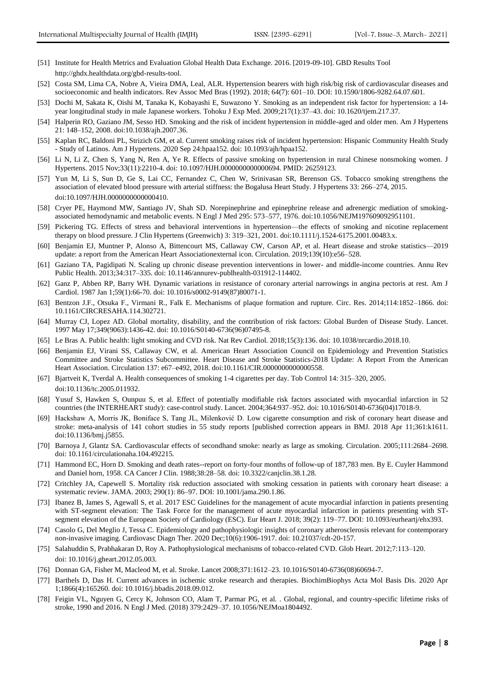- [51] Institute for Health Metrics and Evaluation Global Health Data Exchange. 2016. [2019-09-10]. GBD Results Tool http://ghdx.healthdata.org/gbd-results-tool.
- [52] Costa SM, Lima CA, Nobre A, Vieira DMA, Leal, ALR. Hypertension bearers with high risk/big risk of cardiovascular diseases and socioeconomic and health indicators. Rev Assoc Med Bras (1992). 2018; 64(7): 601–10. DOI: 10.1590/1806-9282.64.07.601.
- [53] Dochi M, Sakata K, Oishi M, Tanaka K, Kobayashi E, Suwazono Y. Smoking as an independent risk factor for hypertension: a 14 year longitudinal study in male Japanese workers. Tohoku J Exp Med. 2009;217(1):37–43. doi: 10.1620/tjem.217.37.
- [54] Halperin RO, Gaziano JM, Sesso HD. Smoking and the risk of incident hypertension in middle-aged and older men. Am J Hypertens 21: 148–152, 2008. doi:10.1038/ajh.2007.36.
- [55] Kaplan RC, Baldoni PL, Strizich GM, et al. Current smoking raises risk of incident hypertension: Hispanic Community Health Study - Study of Latinos. Am J Hypertens. 2020 Sep 24:hpaa152. doi: 10.1093/ajh/hpaa152.
- [56] Li N, Li Z, Chen S, Yang N, Ren A, Ye R. Effects of passive smoking on hypertension in rural Chinese nonsmoking women. J Hypertens. 2015 Nov;33(11):2210-4. doi: 10.1097/HJH.0000000000000694. PMID: 26259123.
- [57] Yun M, Li S, Sun D, Ge S, Lai CC, Fernandez C, Chen W, Srinivasan SR, Berenson GS. Tobacco smoking strengthens the association of elevated blood pressure with arterial stiffness: the Bogalusa Heart Study. J Hypertens 33: 266–274, 2015. doi:10.1097/HJH.0000000000000410.
- [58] Cryer PE, Haymond MW, Santiago JV, Shah SD. Norepinephrine and epinephrine release and adrenergic mediation of smokingassociated hemodynamic and metabolic events. N Engl J Med 295: 573–577, 1976. doi:10.1056/NEJM197609092951101.
- [59] Pickering TG. Effects of stress and behavioral interventions in hypertension—the effects of smoking and nicotine replacement therapy on blood pressure. J Clin Hypertens (Greenwich) 3: 319–321, 2001. doi:10.1111/j.1524-6175.2001.00483.x.
- [60] Benjamin EJ, Muntner P, Alonso A, Bittencourt MS, Callaway CW, Carson AP, et al. Heart disease and stroke statistics—2019 update: a report from the American Heart Associationexternal icon. Circulation. 2019;139(10):e56–528.
- [61] Gaziano TA, Pagidipati N. Scaling up chronic disease prevention interventions in lower- and middle-income countries. Annu Rev Public Health. 2013;34:317–335. doi: 10.1146/annurev-publhealth-031912-114402.
- [62] Ganz P, Abben RP, Barry WH. Dynamic variations in resistance of coronary arterial narrowings in angina pectoris at rest. Am J Cardiol. 1987 Jan 1;59(1):66-70. doi: 10.1016/s0002-9149(87)80071-1.
- [63] Bentzon J.F., Otsuka F., Virmani R., Falk E. Mechanisms of plaque formation and rupture. Circ. Res. 2014;114:1852–1866. doi: 10.1161/CIRCRESAHA.114.302721.
- [64] Murray CJ, Lopez AD. Global mortality, disability, and the contribution of risk factors: Global Burden of Disease Study. Lancet. 1997 May 17;349(9063):1436-42. doi: 10.1016/S0140-6736(96)07495-8.
- [65] Le Bras A. Public health: light smoking and CVD risk. Nat Rev Cardiol. 2018;15(3):136. doi: 10.1038/nrcardio.2018.10.
- [66] Benjamin EJ, Virani SS, Callaway CW, et al. American Heart Association Council on Epidemiology and Prevention Statistics Committee and Stroke Statistics Subcommittee. Heart Disease and Stroke Statistics-2018 Update: A Report From the American Heart Association. Circulation 137: e67–e492, 2018. doi:10.1161/CIR.0000000000000558.
- [67] Bjartveit K, Tverdal A. Health consequences of smoking 1-4 cigarettes per day. Tob Control 14: 315–320, 2005. doi:10.1136/tc.2005.011932.
- [68] Yusuf S, Hawken S, Ounpuu S, et al. Effect of potentially modifiable risk factors associated with myocardial infarction in 52 countries (the INTERHEART study): case-control study. Lancet. 2004;364:937–952. doi: 10.1016/S0140-6736(04)17018-9.
- [69] Hackshaw A, Morris JK, Boniface S, Tang JL, Milenković D. Low cigarette consumption and risk of coronary heart disease and stroke: meta-analysis of 141 cohort studies in 55 study reports [published correction appears in BMJ. 2018 Apr 11;361:k1611. doi:10.1136/bmj.j5855.
- [70] Barnoya J, Glantz SA. Cardiovascular effects of secondhand smoke: nearly as large as smoking. Circulation. 2005;111:2684–2698. doi: 10.1161/circulationaha.104.492215.
- [71] Hammond EC, Horn D. Smoking and death rates--report on forty-four months of follow-up of 187,783 men. By E. Cuyler Hammond and Daniel horn, 1958. CA Cancer J Clin. 1988;38:28–58. doi: 10.3322/canjclin.38.1.28.
- [72] Critchley JA, Capewell S. Mortality risk reduction associated with smoking cessation in patients with coronary heart disease: a systematic review. JAMA. 2003; 290(1): 86–97. DOI: 10.1001/jama.290.1.86.
- [73] Ibanez B, James S, Agewall S, et al. 2017 ESC Guidelines for the management of acute myocardial infarction in patients presenting with ST-segment elevation: The Task Force for the management of acute myocardial infarction in patients presenting with STsegment elevation of the European Society of Cardiology (ESC). Eur Heart J. 2018; 39(2): 119–77. DOI: 10.1093/eurheartj/ehx393.
- [74] Casolo G, Del Meglio J, Tessa C. Epidemiology and pathophysiologic insights of coronary atherosclerosis relevant for contemporary non-invasive imaging. Cardiovasc Diagn Ther. 2020 Dec;10(6):1906-1917. doi: 10.21037/cdt-20-157.
- [75] Salahuddin S, Prabhakaran D, Roy A. Pathophysiological mechanisms of tobacco-related CVD. Glob Heart. 2012;7:113–120. doi: 10.1016/j.gheart.2012.05.003.
- [76] Donnan GA, Fisher M, Macleod M, et al. Stroke. Lancet 2008;371:1612–23. 10.1016/S0140-6736(08)60694-7.
- [77] Barthels D, Das H. Current advances in ischemic stroke research and therapies. BiochimBiophys Acta Mol Basis Dis. 2020 Apr 1;1866(4):165260. doi: 10.1016/j.bbadis.2018.09.012.
- [78] Feigin VL, Nguyen G, Cercy K, Johnson CO, Alam T, Parmar PG, et al. . Global, regional, and country-specific lifetime risks of stroke, 1990 and 2016. N Engl J Med. (2018) 379:2429–37. 10.1056/NEJMoa1804492.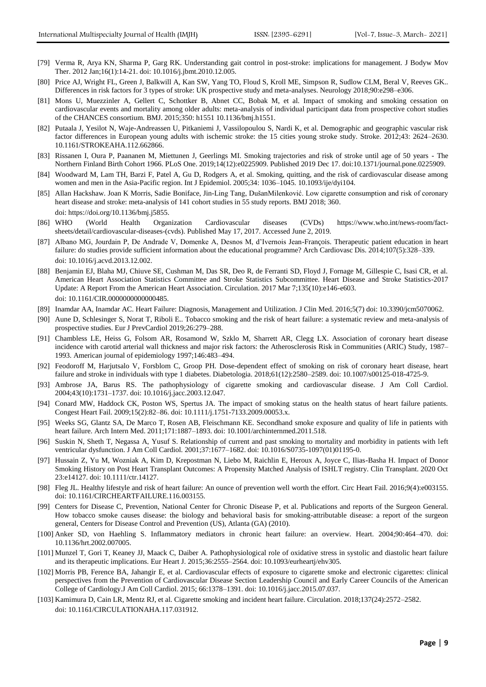- [79] Verma R, Arya KN, Sharma P, Garg RK. Understanding gait control in post-stroke: implications for management. J Bodyw Mov Ther. 2012 Jan;16(1):14-21. doi: 10.1016/j.jbmt.2010.12.005.
- [80] Price AJ, Wright FL, Green J, Balkwill A, Kan SW, Yang TO, Floud S, Kroll ME, Simpson R, Sudlow CLM, Beral V, Reeves GK.. Differences in risk factors for 3 types of stroke: UK prospective study and meta-analyses. Neurology 2018;90:e298–e306.
- [81] Mons U, Muezzinler A, Gellert C, Schottker B, Abnet CC, Bobak M, et al. Impact of smoking and smoking cessation on cardiovascular events and mortality among older adults: meta-analysis of individual participant data from prospective cohort studies of the CHANCES consortium. BMJ. 2015;350: h1551 10.1136/bmj.h1551.
- [82] Putaala J, Yesilot N, Waje-Andreassen U, Pitkaniemi J, Vassilopoulou S, Nardi K, et al. Demographic and geographic vascular risk factor differences in European young adults with ischemic stroke: the 15 cities young stroke study. Stroke. 2012;43: 2624–2630. 10.1161/STROKEAHA.112.662866.
- [83] Rissanen I, Oura P, Paananen M, Miettunen J, Geerlings MI. Smoking trajectories and risk of stroke until age of 50 years The Northern Finland Birth Cohort 1966. PLoS One. 2019;14(12):e0225909. Published 2019 Dec 17. doi:10.1371/journal.pone.0225909.
- [84] Woodward M, Lam TH, Barzi F, Patel A, Gu D, Rodgers A, et al. Smoking, quitting, and the risk of cardiovascular disease among women and men in the Asia-Pacific region. Int J Epidemiol. 2005;34: 1036–1045. 10.1093/ije/dyi104.
- [85] Allan Hackshaw. Joan K Morris, Sadie Boniface, Jin-Ling Tang, DušanMilenković. Low cigarette consumption and risk of coronary heart disease and stroke: meta-analysis of 141 cohort studies in 55 study reports. BMJ 2018; 360. doi: https://doi.org/10.1136/bmj.j5855.
- [86] WHO (World Health Organization Cardiovascular diseases (CVDs) https://www.who.int/news-room/factsheets/detail/cardiovascular-diseases-(cvds). Published May 17, 2017. Accessed June 2, 2019.
- [87] Albano MG, Jourdain P, De Andrade V, Domenke A, Desnos M, d'Ivernois Jean-François. Therapeutic patient education in heart failure: do studies provide sufficient information about the educational programme? Arch Cardiovasc Dis. 2014;107(5):328–339. doi: 10.1016/j.acvd.2013.12.002.
- [88] Benjamin EJ, Blaha MJ, Chiuve SE, Cushman M, Das SR, Deo R, de Ferranti SD, Floyd J, Fornage M, Gillespie C, Isasi CR, et al. American Heart Association Statistics Committee and Stroke Statistics Subcommittee. Heart Disease and Stroke Statistics-2017 Update: A Report From the American Heart Association. Circulation. 2017 Mar 7;135(10):e146-e603. doi: 10.1161/CIR.0000000000000485.
- [89] Inamdar AA, Inamdar AC. Heart Failure: Diagnosis, Management and Utilization. J Clin Med. 2016;5(7) doi: 10.3390/jcm5070062.
- [90] Aune D, Schlesinger S, Norat T, Riboli E.. Tobacco smoking and the risk of heart failure: a systematic review and meta-analysis of prospective studies. Eur J PrevCardiol 2019;26:279–288.
- [91] Chambless LE, Heiss G, Folsom AR, Rosamond W, Szklo M, Sharrett AR, Clegg LX. Association of coronary heart disease incidence with carotid arterial wall thickness and major risk factors: the Atherosclerosis Risk in Communities (ARIC) Study, 1987– 1993. American journal of epidemiology 1997;146:483–494.
- [92] Feodoroff M, Harjutsalo V, Forsblom C, Groop PH. Dose-dependent effect of smoking on risk of coronary heart disease, heart failure and stroke in individuals with type 1 diabetes. Diabetologia. 2018;61(12):2580–2589. doi: 10.1007/s00125-018-4725-9.
- [93] Ambrose JA, Barus RS. The pathophysiology of cigarette smoking and cardiovascular disease. J Am Coll Cardiol. 2004;43(10):1731–1737. doi: 10.1016/j.jacc.2003.12.047.
- [94] Conard MW, Haddock CK, Poston WS, Spertus JA. The impact of smoking status on the health status of heart failure patients. Congest Heart Fail. 2009;15(2):82–86. doi: 10.1111/j.1751-7133.2009.00053.x.
- [95] Weeks SG, Glantz SA, De Marco T, Rosen AB, Fleischmann KE. Secondhand smoke exposure and quality of life in patients with heart failure. Arch Intern Med. 2011;171:1887–1893. doi: 10.1001/archinternmed.2011.518.
- [96] Suskin N, Sheth T, Negassa A, Yusuf S. Relationship of current and past smoking to mortality and morbidity in patients with left ventricular dysfunction. J Am Coll Cardiol. 2001;37:1677–1682. doi: 10.1016/S0735-1097(01)01195-0.
- [97] Hussain Z, Yu M, Wozniak A, Kim D, Krepostman N, Liebo M, Raichlin E, Heroux A, Joyce C, Ilias-Basha H. Impact of Donor Smoking History on Post Heart Transplant Outcomes: A Propensity Matched Analysis of ISHLT registry. Clin Transplant. 2020 Oct 23:e14127. doi: 10.1111/ctr.14127.
- [98] Fleg JL. Healthy lifestyle and risk of heart failure: An ounce of prevention well worth the effort. Circ Heart Fail. 2016;9(4):e003155. doi: 10.1161/CIRCHEARTFAILURE.116.003155.
- [99] Centers for Disease C, Prevention, National Center for Chronic Disease P, et al. Publications and reports of the Surgeon General. How tobacco smoke causes disease: the biology and behavioral basis for smoking-attributable disease: a report of the surgeon general, Centers for Disease Control and Prevention (US), Atlanta (GA) (2010).
- [100] Anker SD, von Haehling S. Inflammatory mediators in chronic heart failure: an overview. Heart. 2004;90:464–470. doi: 10.1136/hrt.2002.007005.
- [101] Munzel T, Gori T, Keaney JJ, Maack C, Daiber A. Pathophysiological role of oxidative stress in systolic and diastolic heart failure and its therapeutic implications. Eur Heart J. 2015;36:2555–2564. doi: 10.1093/eurheartj/ehv305.
- [102] Morris PB, Ference BA, Jahangir E, et al. Cardiovascular effects of exposure to cigarette smoke and electronic cigarettes: clinical perspectives from the Prevention of Cardiovascular Disease Section Leadership Council and Early Career Councils of the American College of Cardiology.J Am Coll Cardiol. 2015; 66:1378–1391. doi: 10.1016/j.jacc.2015.07.037.
- [103] Kamimura D, Cain LR, Mentz RJ, et al. Cigarette smoking and incident heart failure. Circulation. 2018;137(24):2572–2582. doi: 10.1161/CIRCULATIONAHA.117.031912.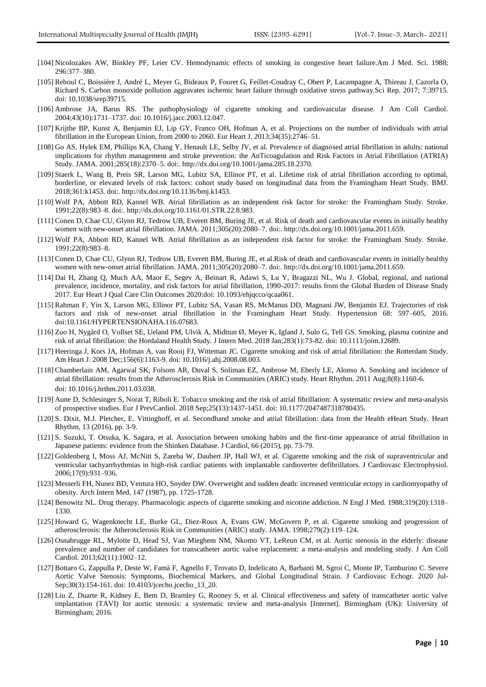- [104] Nicolozakes AW, Binkley PF, Leier CV. Hemodynamic effects of smoking in congestive heart failure.Am J Med. Sci. 1988; 296:377–380.
- [105] Reboul C, Boissière J, André L, Meyer G, Bideaux P, Fouret G, Feillet-Coudray C, Obert P, Lacampagne A, Thireau J, Cazorla O, Richard S. Carbon monoxide pollution aggravates ischemic heart failure through oxidative stress pathway.Sci Rep. 2017; 7:39715. doi: 10.1038/srep39715.
- [106] Ambrose JA, Barus RS. The pathophysiology of cigarette smoking and cardiovascular disease. J Am Coll Cardiol. 2004;43(10):1731–1737. doi: 10.1016/j.jacc.2003.12.047.
- [107] Krijthe BP, Kunst A, Benjamin EJ, Lip GY, Franco OH, Hofman A, et al. Projections on the number of individuals with atrial fibrillation in the European Union, from 2000 to 2060. Eur Heart J. 2013;34(35):2746–51.
- [108] Go AS, Hylek EM, Phillips KA, Chang Y, Henault LE, Selby JV, et al. Prevalence of diagnosed atrial fibrillation in adults: national implications for rhythm management and stroke prevention: the AnTicoagulation and Risk Factors in Atrial Fibrillation (ATRIA) Study. JAMA. 2001;285(18):2370–5. doi:. http://dx.doi.org/10.1001/jama.285.18.2370.
- [109] Staerk L, Wang B, Preis SR, Larson MG, Lubitz SA, Ellinor PT, et al. Lifetime risk of atrial fibrillation according to optimal, borderline, or elevated levels of risk factors: cohort study based on longitudinal data from the Framingham Heart Study. BMJ. 2018;361:k1453. doi:. http://dx.doi.org/10.1136/bmj.k1453.
- [110] Wolf PA, Abbott RD, Kannel WB. Atrial fibrillation as an independent risk factor for stroke: the Framingham Study. Stroke. 1991;22(8):983–8. doi:. http://dx.doi.org/10.1161/01.STR.22.8.983.
- [111] Conen D, Chae CU, Glynn RJ, Tedrow UB, Everett BM, Buring JE, et al. Risk of death and cardiovascular events in initially healthy women with new-onset atrial fibrillation. JAMA. 2011;305(20):2080–7. doi:. http://dx.doi.org/10.1001/jama.2011.659.
- [112] Wolf PA, Abbott RD, Kannel WB. Atrial fibrillation as an independent risk factor for stroke: the Framingham Study. Stroke. 1991;22(8):983–8.
- [113] Conen D, Chae CU, Glynn RJ, Tedrow UB, Everett BM, Buring JE, et al.Risk of death and cardiovascular events in initially healthy women with new-onset atrial fibrillation. JAMA. 2011;305(20):2080–7. doi:. http://dx.doi.org/10.1001/jama.2011.659.
- [114] Dai H, Zhang Q, Much AA, Maor E, Segev A, Beinart R, Adawi S, Lu Y, Bragazzi NL, Wu J. Global, regional, and national prevalence, incidence, mortality, and risk factors for atrial fibrillation, 1990-2017: results from the Global Burden of Disease Study 2017. Eur Heart J Qual Care Clin Outcomes 2020:doi: 10.1093/ehjqcco/qcaa061.
- [115] Rahman F, Yin X, Larson MG, Ellinor PT, Lubitz SA, Vasan RS, McManus DD, Magnani JW, Benjamin EJ. Trajectories of risk factors and risk of new-onset atrial fibrillation in the Framingham Heart Study. Hypertension 68: 597–605, 2016. doi:10.1161/HYPERTENSIONAHA.116.07683.
- [116] Zuo H, Nygård O, Vollset SE, Ueland PM, Ulvik A, Midttun Ø, Meyer K, Igland J, Sulo G, Tell GS. Smoking, plasma cotinine and risk of atrial fibrillation: the Hordaland Health Study. J Intern Med. 2018 Jan;283(1):73-82. doi: 10.1111/joim.12689.
- [117] Heeringa J, Kors JA, Hofman A, van Rooij FJ, Witteman JC. Cigarette smoking and risk of atrial fibrillation: the Rotterdam Study. Am Heart J. 2008 Dec;156(6):1163-9. doi: 10.1016/j.ahj.2008.08.003.
- [118] Chamberlain AM, Agarwal SK, Folsom AR, Duval S, Soliman EZ, Ambrose M, Eberly LE, Alonso A. Smoking and incidence of atrial fibrillation: results from the Atherosclerosis Risk in Communities (ARIC) study. Heart Rhythm. 2011 Aug;8(8):1160-6. doi: 10.1016/j.hrthm.2011.03.038.
- [119] Aune D, Schlesinger S, Norat T, Riboli E. Tobacco smoking and the risk of atrial fibrillation: A systematic review and meta-analysis of prospective studies. Eur J PrevCardiol. 2018 Sep;25(13):1437-1451. doi: 10.1177/2047487318780435.
- [120] S. Dixit, M.J. Pletcher, E. Vittinghoff, et al. Secondhand smoke and atrial fibrillation: data from the Health eHeart Study. Heart Rhythm, 13 (2016), pp. 3-9.
- [121] S. Suzuki, T. Otsuka, K. Sagara, et al. Association between smoking habits and the first-time appearance of atrial fibrillation in Japanese patients: evidence from the Shinken Database. J Cardiol, 66 (2015), pp. 73-79.
- [122] Goldenberg I, Moss AJ, McNitt S, Zareba W, Daubert JP, Hall WJ, et al. Cigarette smoking and the risk of supraventricular and ventricular tachyarrhythmias in high-risk cardiac patients with implantable cardioverter defibrillators. J Cardiovasc Electrophysiol. 2006;17(9):931–936.
- [123] Messerli FH, Nunez BD, Ventura HO, Snyder DW. Overweight and sudden death: increased ventricular ectopy in cardiomyopathy of obesity. Arch Intern Med, 147 (1987), pp. 1725-1728.
- [124] Benowitz NL. Drug therapy. Pharmacologic aspects of cigarette smoking and nicotine addiction. N Engl J Med. 1988;319(20):1318– 1330.
- [125] Howard G, Wagenknecht LE, Burke GL, Diez-Roux A, Evans GW, McGovern P, et al. Cigarette smoking and progression of atherosclerosis: the Atherosclerosis Risk in Communities (ARIC) study. JAMA. 1998;279(2):119–124.
- [126] Osnabrugge RL, Mylotte D, Head SJ, Van Mieghem NM, Nkomo VT, LeReun CM, et al. Aortic stenosis in the elderly: disease prevalence and number of candidates for transcatheter aortic valve replacement: a meta-analysis and modeling study. J Am Coll Cardiol. 2013;62(11):1002–12.
- [127] Bottaro G, Zappulla P, Deste W, Famà F, Agnello F, Trovato D, Indelicato A, Barbanti M, Sgroi C, Monte IP, Tamburino C. Severe Aortic Valve Stenosis: Symptoms, Biochemical Markers, and Global Longitudinal Strain. J Cardiovasc Echogr. 2020 Jul-Sep;30(3):154-161. doi: 10.4103/jcecho.jcecho\_13\_20.
- [128] Liu Z, Duarte R, Kidney E, Bem D, Bramley G, Rooney S, et al. Clinical effectiveness and safety of transcatheter aortic valve implantation (TAVI) for aortic stenosis: a systematic review and meta-analysis [Internet]. Birmingham (UK): University of Birmingham; 2016.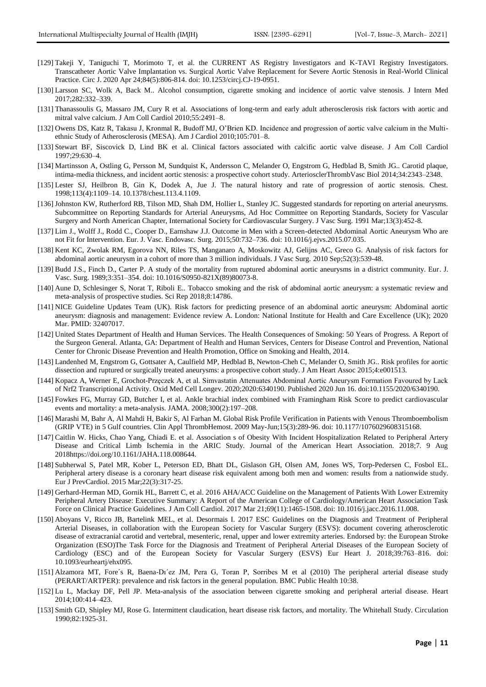- [129] Takeji Y, Taniguchi T, Morimoto T, et al. the CURRENT AS Registry Investigators and K-TAVI Registry Investigators. Transcatheter Aortic Valve Implantation vs. Surgical Aortic Valve Replacement for Severe Aortic Stenosis in Real-World Clinical Practice. Circ J. 2020 Apr 24;84(5):806-814. doi: 10.1253/circj.CJ-19-0951.
- [130] Larsson SC, Wolk A, Back M.. Alcohol consumption, cigarette smoking and incidence of aortic valve stenosis. J Intern Med 2017;282:332–339.
- [131] Thanassoulis G, Massaro JM, Cury R et al. Associations of long-term and early adult atherosclerosis risk factors with aortic and mitral valve calcium. J Am Coll Cardiol 2010;55:2491–8.
- [132] Owens DS, Katz R, Takasu J, Kronmal R, Budoff MJ, O'Brien KD. Incidence and progression of aortic valve calcium in the Multiethnic Study of Atherosclerosis (MESA). Am J Cardiol 2010;105:701–8.
- [133] Stewart BF, Siscovick D, Lind BK et al. Clinical factors associated with calcific aortic valve disease. J Am Coll Cardiol 1997;29:630–4.
- [134] Martinsson A, Ostling G, Persson M, Sundquist K, Andersson C, Melander O, Engstrom G, Hedblad B, Smith JG.. Carotid plaque, intima-media thickness, and incident aortic stenosis: a prospective cohort study. ArteriosclerThrombVasc Biol 2014;34:2343–2348.
- [135] Lester SJ, Heilbron B, Gin K, Dodek A, Jue J. The natural history and rate of progression of aortic stenosis. Chest. 1998;113(4):1109–14. 10.1378/chest.113.4.1109.
- [136] Johnston KW, Rutherford RB, Tilson MD, Shah DM, Hollier L, Stanley JC. Suggested standards for reporting on arterial aneurysms. Subcommittee on Reporting Standards for Arterial Aneurysms, Ad Hoc Committee on Reporting Standards, Society for Vascular Surgery and North American Chapter, International Society for Cardiovascular Surgery. J Vasc Surg. 1991 Mar;13(3):452-8.
- [137] Lim J., Wolff J., Rodd C., Cooper D., Earnshaw J.J. Outcome in Men with a Screen-detected Abdominal Aortic Aneurysm Who are not Fit for Intervention. Eur. J. Vasc. Endovasc. Surg. 2015;50:732–736. doi: 10.1016/j.ejvs.2015.07.035.
- [138] Kent KC, Zwolak RM, Egorova NN, Riles TS, Manganaro A, Moskowitz AJ, Gelijns AC, Greco G. Analysis of risk factors for abdominal aortic aneurysm in a cohort of more than 3 million individuals. J Vasc Surg. 2010 Sep;52(3):539-48.
- [139] Budd J.S., Finch D., Carter P. A study of the mortality from ruptured abdominal aortic aneurysms in a district community. Eur. J. Vasc. Surg. 1989;3:351–354. doi: 10.1016/S0950-821X(89)80073-8.
- [140] Aune D, Schlesinger S, Norat T, Riboli E.. Tobacco smoking and the risk of abdominal aortic aneurysm: a systematic review and meta-analysis of prospective studies. Sci Rep 2018;8:14786.
- [141] NICE Guideline Updates Team (UK). Risk factors for predicting presence of an abdominal aortic aneurysm: Abdominal aortic aneurysm: diagnosis and management: Evidence review A. London: National Institute for Health and Care Excellence (UK); 2020 Mar. PMID: 32407017.
- [142] United States Department of Health and Human Services. The Health Consequences of Smoking: 50 Years of Progress. A Report of the Surgeon General. Atlanta, GA: Department of Health and Human Services, Centers for Disease Control and Prevention, National Center for Chronic Disease Prevention and Health Promotion, Office on Smoking and Health, 2014.
- [143] Landenhed M, Engstrom G, Gottsater A, Caulfield MP, Hedblad B, Newton-Cheh C, Melander O, Smith JG.. Risk profiles for aortic dissection and ruptured or surgically treated aneurysms: a prospective cohort study. J Am Heart Assoc 2015;4:e001513.
- [144] Kopacz A, Werner E, Grochot-Przęczek A, et al. Simvastatin Attenuates Abdominal Aortic Aneurysm Formation Favoured by Lack of Nrf2 Transcriptional Activity. Oxid Med Cell Longev. 2020;2020:6340190. Published 2020 Jun 16. doi:10.1155/2020/6340190.
- [145] Fowkes FG, Murray GD, Butcher I, et al. Ankle brachial index combined with Framingham Risk Score to predict cardiovascular events and mortality: a meta-analysis. JAMA. 2008;300(2):197–208.
- [146] Marashi M, Bahr A, Al Mahdi H, Bakir S, Al Farhan M. Global Risk Profile Verification in Patients with Venous Thromboembolism (GRIP VTE) in 5 Gulf countries. Clin Appl ThrombHemost. 2009 May-Jun;15(3):289-96. doi: 10.1177/1076029608315168.
- [147] Caitlin W. Hicks, Chao Yang, Chiadi E. et al. Association s of Obesity With Incident Hospitalization Related to Peripheral Artery Disease and Critical Limb Ischemia in the ARIC Study. Journal of the American Heart Association. 2018;7. 9 Aug 2018https://doi.org/10.1161/JAHA.118.008644.
- [148] Subherwal S, Patel MR, Kober L, Peterson ED, Bhatt DL, Gislason GH, Olsen AM, Jones WS, Torp-Pedersen C, Fosbol EL. Peripheral artery disease is a coronary heart disease risk equivalent among both men and women: results from a nationwide study. Eur J PrevCardiol. 2015 Mar;22(3):317-25.
- [149] Gerhard-Herman MD, Gornik HL, Barrett C, et al. 2016 AHA/ACC Guideline on the Management of Patients With Lower Extremity Peripheral Artery Disease: Executive Summary: A Report of the American College of Cardiology/American Heart Association Task Force on Clinical Practice Guidelines. J Am Coll Cardiol. 2017 Mar 21;69(11):1465-1508. doi: 10.1016/j.jacc.2016.11.008.
- [150] Aboyans V, Ricco JB, Bartelink MEL, et al. Desormais I. 2017 ESC Guidelines on the Diagnosis and Treatment of Peripheral Arterial Diseases, in collaboration with the European Society for Vascular Surgery (ESVS): document covering atherosclerotic disease of extracranial carotid and vertebral, mesenteric, renal, upper and lower extremity arteries. Endorsed by: the European Stroke Organization (ESO)The Task Force for the Diagnosis and Treatment of Peripheral Arterial Diseases of the European Society of Cardiology (ESC) and of the European Society for Vascular Surgery (ESVS) Eur Heart J. 2018;39:763–816. doi: 10.1093/eurheartj/ehx095.
- [151] Alzamora MT, Fore´s R, Baena-Dı´ez JM, Pera G, Toran P, Sorribes M et al (2010) The peripheral arterial disease study (PERART/ARTPER): prevalence and risk factors in the general population. BMC Public Health 10:38.
- [152] Lu L, Mackay DF, Pell JP. Meta-analysis of the association between cigarette smoking and peripheral arterial disease. Heart 2014;100:414–423.
- [153] Smith GD, Shipley MJ, Rose G. Intermittent claudication, heart disease risk factors, and mortality. The Whitehall Study. Circulation 1990;82:1925-31.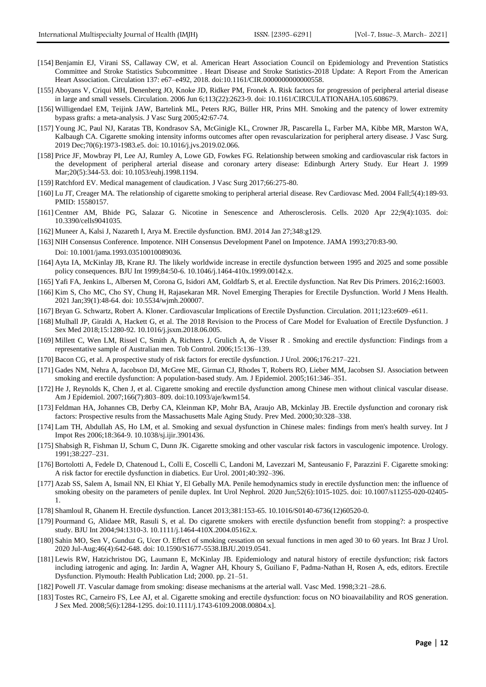- [154] Benjamin EJ, Virani SS, Callaway CW, et al. American Heart Association Council on Epidemiology and Prevention Statistics Committee and Stroke Statistics Subcommittee . Heart Disease and Stroke Statistics-2018 Update: A Report From the American Heart Association. Circulation 137: e67–e492, 2018. doi:10.1161/CIR.0000000000000558.
- [155] Aboyans V, Criqui MH, Denenberg JO, Knoke JD, Ridker PM, Fronek A. Risk factors for progression of peripheral arterial disease in large and small vessels. Circulation. 2006 Jun 6;113(22):2623-9. doi: 10.1161/CIRCULATIONAHA.105.608679.
- [156] Willigendael EM, Teijink JAW, Bartelink ML, Peters RJG, Büller HR, Prins MH. Smoking and the patency of lower extremity bypass grafts: a meta-analysis. J Vasc Surg 2005;42:67-74.
- [157] Young JC, Paul NJ, Karatas TB, Kondrasov SA, McGinigle KL, Crowner JR, Pascarella L, Farber MA, Kibbe MR, Marston WA, Kalbaugh CA. Cigarette smoking intensity informs outcomes after open revascularization for peripheral artery disease. J Vasc Surg. 2019 Dec;70(6):1973-1983.e5. doi: 10.1016/j.jvs.2019.02.066.
- [158] Price JF, Mowbray PI, Lee AJ, Rumley A, Lowe GD, Fowkes FG. Relationship between smoking and cardiovascular risk factors in the development of peripheral arterial disease and coronary artery disease: Edinburgh Artery Study. Eur Heart J. 1999 Mar;20(5):344-53. doi: 10.1053/euhj.1998.1194.
- [159] Ratchford EV. Medical management of claudication. J Vasc Surg 2017;66:275-80.
- [160] Lu JT, Creager MA. The relationship of cigarette smoking to peripheral arterial disease. Rev Cardiovasc Med. 2004 Fall;5(4):189-93. PMID: 15580157.
- [161] Centner AM, Bhide PG, Salazar G. Nicotine in Senescence and Atherosclerosis. Cells. 2020 Apr 22;9(4):1035. doi: 10.3390/cells9041035.
- [162] Muneer A, Kalsi J, Nazareth I, Arya M. Erectile dysfunction. BMJ. 2014 Jan 27;348:g129.
- [163] NIH Consensus Conference. Impotence. NIH Consensus Development Panel on Impotence. JAMA 1993;270:83-90. Doi: 10.1001/jama.1993.03510010089036.
- [164] Ayta IA, McKinlay JB, Krane RJ. The likely worldwide increase in erectile dysfunction between 1995 and 2025 and some possible policy consequences. BJU Int 1999;84:50-6. 10.1046/j.1464-410x.1999.00142.x.
- [165] Yafi FA, Jenkins L, Albersen M, Corona G, Isidori AM, Goldfarb S, et al. Erectile dysfunction. Nat Rev Dis Primers. 2016;2:16003.
- [166] Kim S, Cho MC, Cho SY, Chung H, Rajasekaran MR. Novel Emerging Therapies for Erectile Dysfunction. World J Mens Health. 2021 Jan;39(1):48-64. doi: 10.5534/wjmh.200007.
- [167] Bryan G. Schwartz, Robert A. Kloner. Cardiovascular Implications of Erectile Dysfunction. Circulation. 2011;123:e609–e611.
- [168] Mulhall JP, Giraldi A, Hackett G, et al. The 2018 Revision to the Process of Care Model for Evaluation of Erectile Dysfunction. J Sex Med 2018;15:1280-92. 10.1016/j.jsxm.2018.06.005.
- [169] Millett C, Wen LM, Rissel C, Smith A, Richters J, Grulich A, de Visser R . Smoking and erectile dysfunction: Findings from a representative sample of Australian men. Tob Control. 2006;15:136–139.
- [170] Bacon CG, et al. A prospective study of risk factors for erectile dysfunction. J Urol. 2006;176:217–221.
- [171] Gades NM, Nehra A, Jacobson DJ, McGree ME, Girman CJ, Rhodes T, Roberts RO, Lieber MM, Jacobsen SJ. Association between smoking and erectile dysfunction: A population-based study. Am. J Epidemiol. 2005;161:346–351.
- [172] He J, Reynolds K, Chen J, et al. Cigarette smoking and erectile dysfunction among Chinese men without clinical vascular disease. Am J Epidemiol. 2007;166(7):803–809. doi:10.1093/aje/kwm154.
- [173] Feldman HA, Johannes CB, Derby CA, Kleinman KP, Mohr BA, Araujo AB, Mckinlay JB. Erectile dysfunction and coronary risk factors: Prospective results from the Massachusetts Male Aging Study. Prev Med. 2000;30:328–338.
- [174] Lam TH, Abdullah AS, Ho LM, et al. Smoking and sexual dysfunction in Chinese males: findings from men's health survey. Int J Impot Res 2006;18:364-9. 10.1038/sj.ijir.3901436.
- [175] Shabsigh R, Fishman IJ, Schum C, Dunn JK. Cigarette smoking and other vascular risk factors in vasculogenic impotence. Urology. 1991;38:227–231.
- [176] Bortolotti A, Fedele D, Chatenoud L, Colli E, Coscelli C, Landoni M, Lavezzari M, Santeusanio F, Parazzini F. Cigarette smoking: A risk factor for erectile dysfunction in diabetics. Eur Urol. 2001;40:392–396.
- [177] Azab SS, Salem A, Ismail NN, El Khiat Y, El Gebally MA. Penile hemodynamics study in erectile dysfunction men: the influence of smoking obesity on the parameters of penile duplex. Int Urol Nephrol. 2020 Jun;52(6):1015-1025. doi: 10.1007/s11255-020-02405- 1.
- [178] Shamloul R, Ghanem H. Erectile dysfunction. Lancet 2013;381:153-65. 10.1016/S0140-6736(12)60520-0.
- [179] Pourmand G, Alidaee MR, Rasuli S, et al. Do cigarette smokers with erectile dysfunction benefit from stopping?: a prospective study. BJU Int 2004;94:1310-3. 10.1111/j.1464-410X.2004.05162.x.
- [180] Sahin MO, Sen V, Gunduz G, Ucer O. Effect of smoking cessation on sexual functions in men aged 30 to 60 years. Int Braz J Urol. 2020 Jul-Aug;46(4):642-648. doi: 10.1590/S1677-5538.IBJU.2019.0541.
- [181] Lewis RW, Hatzichristou DG, Laumann E, McKinlay JB. Epidemiology and natural history of erectile dysfunction; risk factors including iatrogenic and aging. In: Jardin A, Wagner AH, Khoury S, Guiliano F, Padma-Nathan H, Rosen A, eds, editors. Erectile Dysfunction. Plymouth: Health Publication Ltd; 2000. pp. 21–51.
- [182] Powell JT. Vascular damage from smoking: disease mechanisms at the arterial wall. Vasc Med. 1998;3:21–28.6.
- [183] Tostes RC, Carneiro FS, Lee AJ, et al. Cigarette smoking and erectile dysfunction: focus on NO bioavailability and ROS generation. J Sex Med. 2008;5(6):1284-1295. doi:10.1111/j.1743-6109.2008.00804.x].